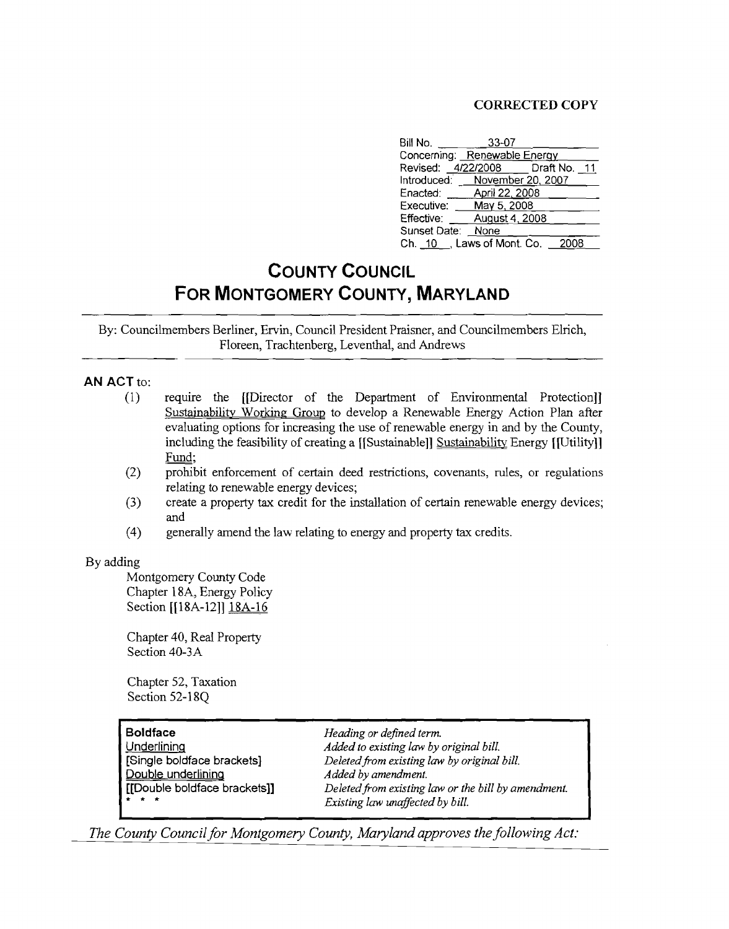## CORRECTED COPY

| Bill No.                        | $33-07$        |       |  |
|---------------------------------|----------------|-------|--|
| Concerning: Renewable Energy    |                |       |  |
| Revised: 4/22/2008 Draft No. 11 |                |       |  |
| Introduced: _ November 20, 2007 |                |       |  |
| Enacted:                        | April 22, 2008 |       |  |
| Executive: $May 5, 2008$        |                |       |  |
| Effective:                      | August 4, 2008 |       |  |
| Sunset Date: None               |                |       |  |
| Ch. 10, Laws of Mont. Co.       |                | -2008 |  |

## **COUNTY COUNCIL FOR MONTGOMERY COUNTY, MARYLAND**

By: Councilmembers Berliner, Ervin, Council President Praisner, and Councilmembers Elrich, Floreen, Trachtenberg, Leventhal, and Andrews

## AN ACT to:

- (1) require the [[Director of the Department of Environmental Protection]] Sustainability Working Group to develop a Renewable Energy Action Plan after evaluating options for increasing the use of renewable energy in and by the County, including the feasibility of creating a [[Sustainable]] Sustainability Energy [[Utility]] Fund;
- (2) prohibit enforcement of certain deed restrictions, covenants, rules, or regulations relating to renewable energy devices;
- (3) create a property tax credit for the installation of certain renewable energy devices; and
- (4) generally amend the law relating to energy and property tax credits.

## By adding

Montgomery County Code Chapter l8A, Energy Policy Section [[18A-12]] 18A-16

Chapter 40, Real Property Section 40-3A

Chapter 52, Taxation Section 52-l8Q

| Boldface                     | Heading or defined term.                            |
|------------------------------|-----------------------------------------------------|
| Underlining                  | Added to existing law by original bill.             |
| [Single boldface brackets]   | Deleted from existing law by original bill.         |
| <u>Double underlining</u>    | Added by amendment.                                 |
| [[Double boldface brackets]] | Deleted from existing law or the bill by amendment. |
| * * *                        | Existing law unaffected by bill.                    |

*The County Councilfor Montgomery County, Maryland approves the following Act:*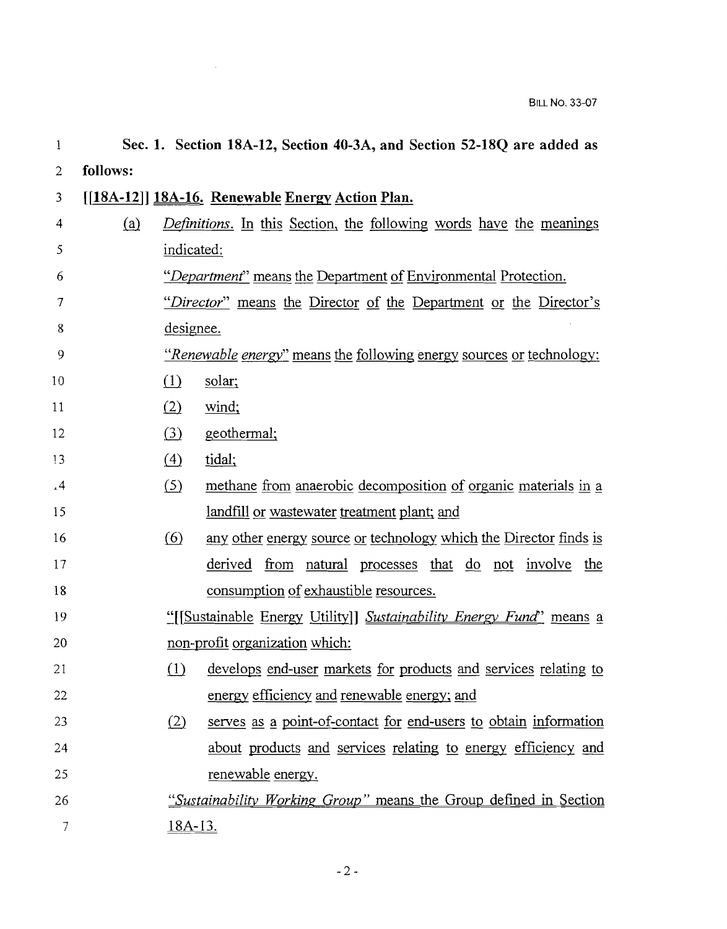| 1              | Sec. 1. Section 18A-12, Section 40-3A, and Section 52-18Q are added as |                                                                             |                                                                             |  |  |
|----------------|------------------------------------------------------------------------|-----------------------------------------------------------------------------|-----------------------------------------------------------------------------|--|--|
| $\overline{2}$ | follows:                                                               |                                                                             |                                                                             |  |  |
| 3              |                                                                        |                                                                             | [[18A-12]] 18A-16. Renewable Energy Action Plan.                            |  |  |
| 4              | (a)                                                                    | <i>Definitions</i> . In this Section, the following words have the meanings |                                                                             |  |  |
| 5              |                                                                        | indicated:                                                                  |                                                                             |  |  |
| 6              |                                                                        |                                                                             | "Department" means the Department of Environmental Protection.              |  |  |
| 7              |                                                                        |                                                                             | "Director" means the Director of the Department or the Director's           |  |  |
| 8              |                                                                        | designee.                                                                   |                                                                             |  |  |
| 9              |                                                                        |                                                                             | <i>"Renewable energy"</i> means the following energy sources or technology: |  |  |
| 10             |                                                                        | $\Omega$                                                                    | solar;                                                                      |  |  |
| 11             |                                                                        | (2)                                                                         | wind;                                                                       |  |  |
| 12             |                                                                        | $\left( \underline{3} \right)$                                              | geothermal;                                                                 |  |  |
| 13             |                                                                        | $\left(4\right)$                                                            | tidal;                                                                      |  |  |
| .4             |                                                                        | (5)                                                                         | methane from anaerobic decomposition of organic materials in a              |  |  |
| 15             |                                                                        |                                                                             | <u>landfill or wastewater treatment plant; and</u>                          |  |  |
| 16             |                                                                        | $\circ$                                                                     | any other energy source or technology which the Director finds is           |  |  |
| 17             |                                                                        |                                                                             | derived<br><u>from natural processes that do not involve the</u>            |  |  |
| 18             |                                                                        |                                                                             | consumption of exhaustible resources.                                       |  |  |
| 19             |                                                                        | "[[Sustainable Energy Utility]] Sustainability Energy Fund" means a         |                                                                             |  |  |
| 20             |                                                                        |                                                                             | non-profit organization which:                                              |  |  |
| 21             |                                                                        |                                                                             | (1) develops end-user markets for products and services relating to         |  |  |
| 22             |                                                                        |                                                                             | energy efficiency and renewable energy; and                                 |  |  |
| 23             |                                                                        | (2)                                                                         | serves as a point-of-contact for end-users to obtain information            |  |  |
| 24             |                                                                        |                                                                             | about products and services relating to energy efficiency and               |  |  |
| 25             |                                                                        |                                                                             | <u>renewable</u> energy.                                                    |  |  |
| 26             |                                                                        |                                                                             | "Sustainability Working Group" means the Group defined in Section           |  |  |
| 7              |                                                                        | <u>18A-13.</u>                                                              |                                                                             |  |  |

 $\sim 10^6$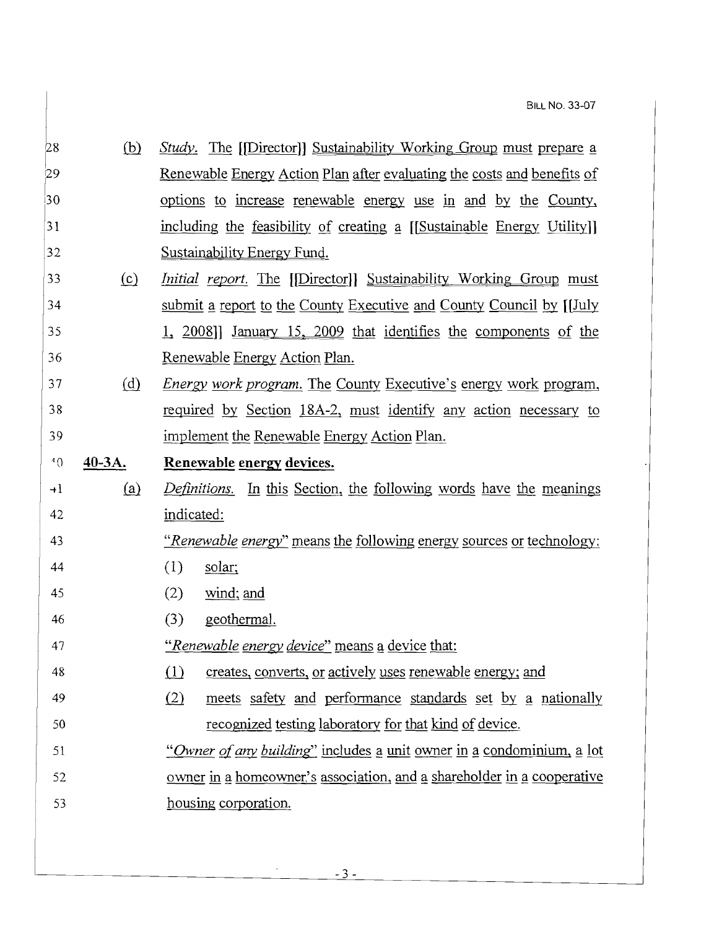| 28      | (b)       | <i>Study</i> . The [[Director]] Sustainability Working Group must prepare a    |  |  |  |  |
|---------|-----------|--------------------------------------------------------------------------------|--|--|--|--|
| 29      |           | <u>Renewable Energy Action Plan after evaluating the costs and benefits of</u> |  |  |  |  |
| 30      |           | options to increase renewable energy use in and by the County,                 |  |  |  |  |
| 31      |           | including the feasibility of creating a [[Sustainable Energy Utility]]         |  |  |  |  |
| 32      |           | Sustainability Energy Fund.                                                    |  |  |  |  |
| 33      | (c)       | <i>Initial report</i> . The [[Director]] Sustainability Working Group must     |  |  |  |  |
| 34      |           | submit a report to the County Executive and County Council by [[July           |  |  |  |  |
| 35      |           | 1, 2008]] January 15, 2009 that identifies the components of the               |  |  |  |  |
| 36      |           | Renewable Energy Action Plan.                                                  |  |  |  |  |
| 37      | (d)       | Energy work program. The County Executive's energy work program,               |  |  |  |  |
| 38      |           | required by Section 18A-2, must identify any action necessary to               |  |  |  |  |
| 39      |           | implement the Renewable Energy Action Plan.                                    |  |  |  |  |
| $^4$ () | $40-3A$ . | Renewable energy devices.                                                      |  |  |  |  |
|         |           |                                                                                |  |  |  |  |
| $+1$    | (a)       | <i>Definitions.</i> In this Section, the following words have the meanings     |  |  |  |  |
| 42      |           | indicated:                                                                     |  |  |  |  |
| 43      |           | <i>"Renewable energy"</i> means the following energy sources or technology:    |  |  |  |  |
| 44      |           | (1)<br>solar;                                                                  |  |  |  |  |
| 45      |           | (2)<br>$wind$ ; and                                                            |  |  |  |  |
| 46      |           | geothermal.<br>(3)                                                             |  |  |  |  |
| 47      |           | <u>"Renewable energy device" means a device that:</u>                          |  |  |  |  |
| 48      |           | (1) creates, converts, or actively uses renewable energy; and                  |  |  |  |  |
| 49      |           | (2)<br>meets safety and performance standards set by a nationally              |  |  |  |  |
| 50      |           | recognized testing laboratory for that kind of device.                         |  |  |  |  |
| 51      |           | "Owner of any building" includes a unit owner in a condominium, a lot          |  |  |  |  |
| 52      |           | owner in a homeowner's association, and a shareholder in a cooperative         |  |  |  |  |
| 53      |           | housing corporation.                                                           |  |  |  |  |

 $\sim 10^{-1}$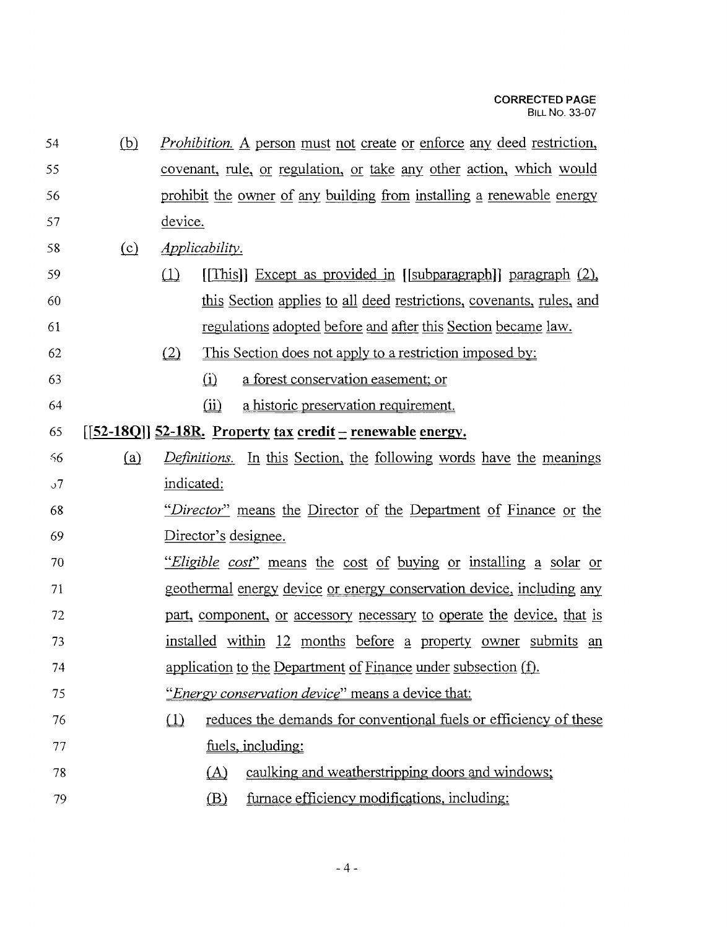| 54       | (b) | <i>Prohibition.</i> A person must not create or enforce any deed restriction,  |  |  |  |  |
|----------|-----|--------------------------------------------------------------------------------|--|--|--|--|
| 55       |     | covenant, rule, or regulation, or take any other action, which would           |  |  |  |  |
| 56       |     | prohibit the owner of any building from installing a renewable energy          |  |  |  |  |
| 57       |     | device.                                                                        |  |  |  |  |
| 58       | (c) | <i>Applicability.</i>                                                          |  |  |  |  |
| 59       |     | (1)<br>$[$ [This]] Except as provided in $[$ [subparagraph]] paragraph $(2)$ , |  |  |  |  |
| 60       |     | this Section applies to all deed restrictions, covenants, rules, and           |  |  |  |  |
| 61       |     | regulations adopted before and after this Section became law.                  |  |  |  |  |
| 62       |     | This Section does not apply to a restriction imposed by:<br>(2)                |  |  |  |  |
| 63       |     | a forest conservation easement; or<br>(i)                                      |  |  |  |  |
| 64       |     | a historic preservation requirement.<br>(ii)                                   |  |  |  |  |
| 65       |     | $[[52-18Q]]$ 52-18R. Property tax credit – renewable energy.                   |  |  |  |  |
| -56      | (a) | <i>Definitions.</i> In this Section, the following words have the meanings     |  |  |  |  |
| $\sigma$ |     | indicated:                                                                     |  |  |  |  |
| 68       |     | "Director" means the Director of the Department of Finance or the              |  |  |  |  |
| 69       |     | Director's designee.                                                           |  |  |  |  |
| 70       |     | <i>Eligible cost</i> " means the cost of buying or installing a solar or       |  |  |  |  |
| 71       |     | geothermal energy device or energy conservation device, including any          |  |  |  |  |
| 72       |     | part, component, or accessory necessary to operate the device, that is         |  |  |  |  |
| 73       |     | <u>installed within 12 months before a property owner submits an</u>           |  |  |  |  |
| 74       |     | application to the Department of Finance under subsection (f).                 |  |  |  |  |
| 75       |     | <i>"Energy conservation device"</i> means a device that:                       |  |  |  |  |
| 76       |     | reduces the demands for conventional fuels or efficiency of these<br>$\Box$    |  |  |  |  |
| 77       |     | fuels, including:                                                              |  |  |  |  |
| 78       |     | caulking and weatherstripping doors and windows;<br>(A)                        |  |  |  |  |
| 79       |     | furnace efficiency modifications, including:<br>(B)                            |  |  |  |  |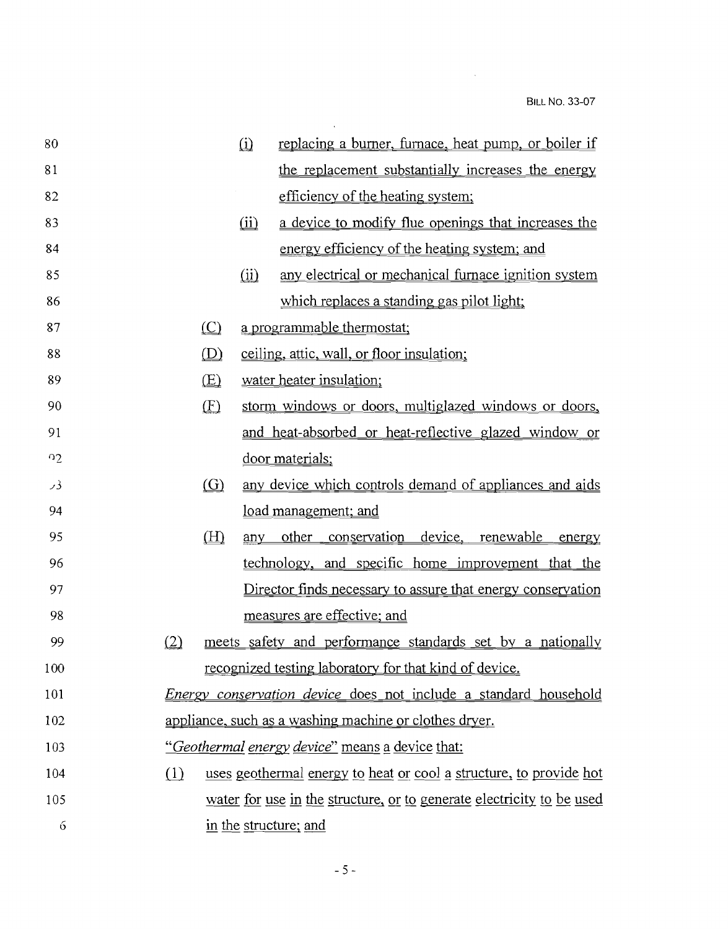$\mathcal{L}^{\text{max}}_{\text{max}}$ 

| 80       | replacing a burner, furnace, heat pump, or boiler if<br>$\Omega$          |
|----------|---------------------------------------------------------------------------|
| 81       | the replacement substantially increases the energy                        |
| 82       | efficiency of the heating system;                                         |
| 83       | a device to modify flue openings that increases the<br>$\omega$           |
| 84       | energy efficiency of the heating system; and                              |
| 85       | any electrical or mechanical furnace ignition system<br>(ii)              |
| 86       | which replaces a standing gas pilot light;                                |
| 87       | $\circ$<br>a programmable thermostat;                                     |
| 88       | (D)<br>ceiling, attic, wall, or floor insulation;                         |
| 89       | $\times$<br>water heater insulation;                                      |
| 90       | (E)<br>storm windows or doors, multiglazed windows or doors,              |
| 91       | and heat-absorbed or heat-reflective glazed window or                     |
| $\Omega$ | door materials;                                                           |
| 93       | $\circ$<br>any device which controls demand of appliances and aids        |
| 94       | <u>load management; and</u>                                               |
| 95       | (H)<br>other conservation<br>device, renewable<br>any<br>energy           |
| 96       | technology, and specific home improvement that the                        |
| 97       | <u>Director finds necessary to assure that energy conservation</u>        |
| 98       | measures are effective; and                                               |
| 99       | (2)<br>meets safety and performance standards set by a nationally         |
| 100      | <u>recognized testing laboratory for that kind of device.</u>             |
| 101      | <i>Energy conservation device</i> does not include a standard household   |
| 102      | appliance, such as a washing machine or clothes dryer.                    |
| 103      | "Geothermal energy device" means a device that:                           |
| 104      | (1)<br>uses geothermal energy to heat or cool a structure, to provide hot |
| 105      | water for use in the structure, or to generate electricity to be used     |
| 6        | in the structure; and                                                     |

 $\mathcal{L}(\mathcal{L}^{\text{max}})$  .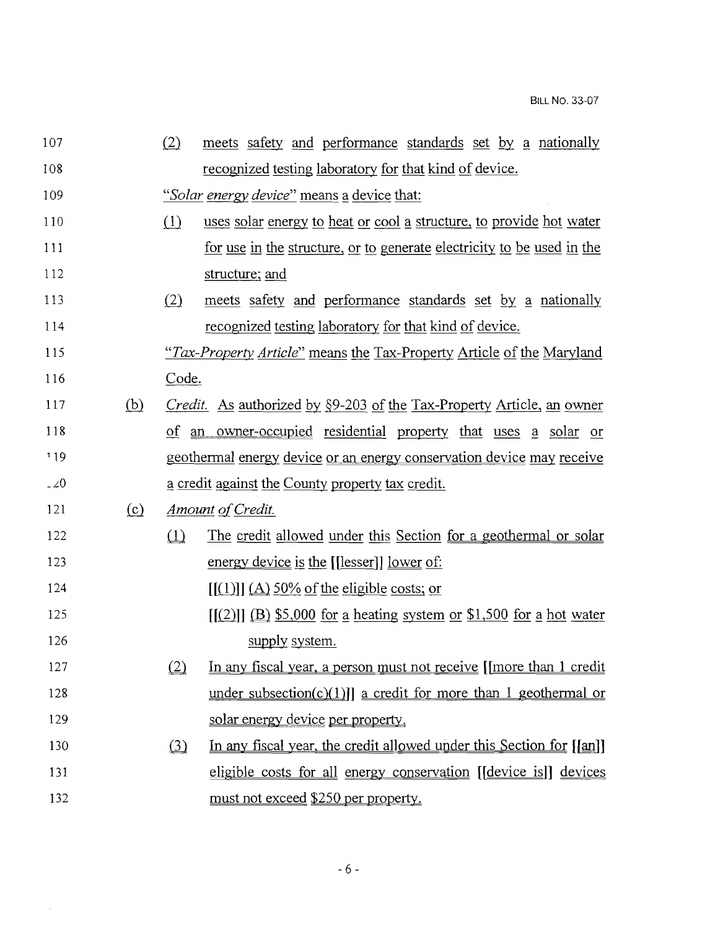| 107 |     | (2)      | meets safety and performance standards set by a nationally                   |
|-----|-----|----------|------------------------------------------------------------------------------|
| 108 |     |          | recognized testing laboratory for that kind of device.                       |
| 109 |     |          | "Solar energy device" means a device that:                                   |
| 110 |     | (1)      | uses solar energy to heat or cool a structure, to provide hot water          |
| 111 |     |          | for use in the structure, or to generate electricity to be used in the       |
| 112 |     |          | structure; and                                                               |
| 113 |     | (2)      | meets safety and performance standards set by a nationally                   |
| 114 |     |          | recognized testing laboratory for that kind of device.                       |
| 115 |     |          | "Tax-Property Article" means the Tax-Property Article of the Maryland        |
| 116 |     | Code.    |                                                                              |
| 117 | (b) |          | <i>Credit.</i> As authorized by §9-203 of the Tax-Property Article, an owner |
| 118 |     |          | of an owner-occupied residential property that uses a solar or               |
| 119 |     |          | geothermal energy device or an energy conservation device may receive        |
| 220 |     |          | a credit against the County property tax credit.                             |
| 121 | (c) |          | <u>Amount of Credit.</u>                                                     |
| 122 |     | $\Omega$ | The credit allowed under this Section for a geothermal or solar              |
| 123 |     |          | energy device is the [[lesser]] lower of:                                    |
| 124 |     |          | $[(1)][(A) 50\%$ of the eligible costs; or                                   |
| 125 |     |          | $[(2)]$ $(B)$ \$5,000 for a heating system or \$1,500 for a hot water        |
| 126 |     |          | supply system.                                                               |
| 127 |     | (2)      | In any fiscal year, a person must not receive [[more than 1 credit           |
| 128 |     |          | under subsection(c)(1)] a credit for more than 1 geothermal or               |
| 129 |     |          | solar energy device per property.                                            |
|     |     |          |                                                                              |
| 130 |     | $\Omega$ | In any fiscal year, the credit allowed under this Section for [[an]]         |
| 131 |     |          | eligible costs for all energy conservation [[device is]] devices             |

 $\mathcal{L}_{\text{max}}$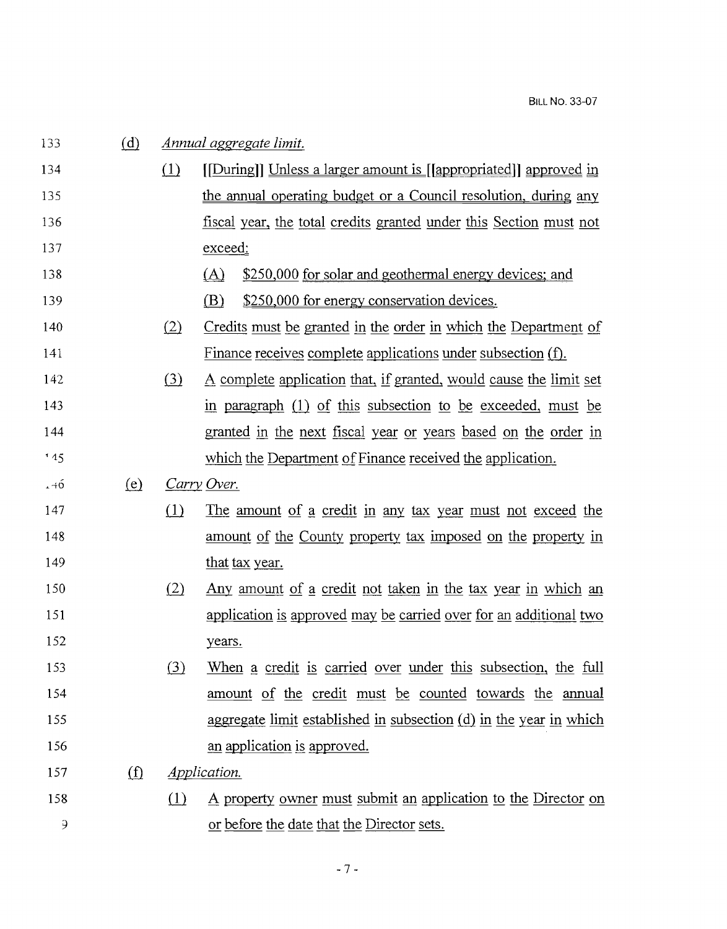| 133            | (d)      | Annual aggregate limit.   |                                                                          |  |  |
|----------------|----------|---------------------------|--------------------------------------------------------------------------|--|--|
| 134            |          | (1)                       | [[During]] Unless a larger amount is [[appropriated]] approved in        |  |  |
| 135            |          |                           | the annual operating budget or a Council resolution, during any          |  |  |
| 136            |          |                           | fiscal year, the total credits granted under this Section must not       |  |  |
| 137            |          |                           | exceed:                                                                  |  |  |
| 138            |          |                           | \$250,000 for solar and geothermal energy devices; and<br>(A)            |  |  |
| 139            |          |                           | \$250,000 for energy conservation devices.<br>(B)                        |  |  |
| 140            |          | (2)                       | Credits must be granted in the order in which the Department of          |  |  |
| 141            |          |                           | Finance receives complete applications under subsection (f).             |  |  |
| 142            |          | (3)                       | A complete application that, if granted, would cause the limit set       |  |  |
| 143            |          |                           | in paragraph (1) of this subsection to be exceeded, must be              |  |  |
| 144            |          |                           | granted in the next fiscal year or years based on the order in           |  |  |
| 145            |          |                           | which the Department of Finance received the application.                |  |  |
| $. + 6$        | (e)      |                           | Carry Over.                                                              |  |  |
| 147            |          | (1)                       | The amount of a credit in any tax year must not exceed the               |  |  |
| 148            |          |                           | <u>amount of the County property tax imposed on the property in</u>      |  |  |
| 149            |          |                           | that tax year.                                                           |  |  |
| 150            |          | (2)                       | <u>Any amount of a credit not taken in the tax year in which an</u>      |  |  |
| 151            |          |                           | <u>application is approved may be carried over for an additional two</u> |  |  |
| 152            |          |                           | years.                                                                   |  |  |
| 153            |          | (3)                       | When a credit is carried over under this subsection, the full            |  |  |
| 154            |          |                           | amount of the credit must be counted towards the annual                  |  |  |
| 155            |          |                           | aggregate limit established in subsection $(d)$ in the year in which     |  |  |
| 156            |          |                           | an application is approved.                                              |  |  |
| 157            | $\Omega$ | <i><u>Application</u></i> |                                                                          |  |  |
| 158            |          | $\Omega$                  | A property owner must submit an application to the Director on           |  |  |
| $\mathfrak{Z}$ |          |                           | or before the date that the Director sets.                               |  |  |